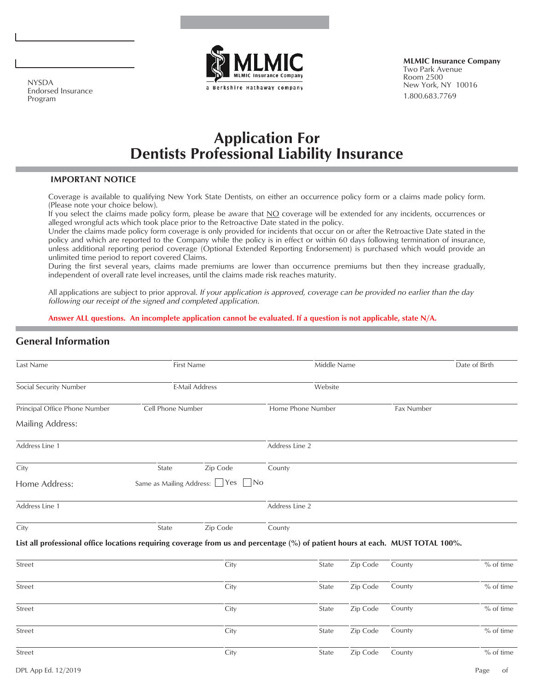

**MLMIC Insurance Company** Two Park Avenue Room 2500 New York, NY 10016 1.800.683.7769

NYSDA Endorsed Insurance Program

# **Application For Dentists Professional Liability Insurance**

### **IMPORTANT NOTICE**

Coverage is available to qualifying New York State Dentists, on either an occurrence policy form or a claims made policy form. (Please note your choice below).

If you select the claims made policy form, please be aware that NO coverage will be extended for any incidents, occurrences or alleged wrongful acts which took place prior to the Retroactive Date stated in the policy.

Under the claims made policy form coverage is only provided for incidents that occur on or after the Retroactive Date stated in the policy and which are reported to the Company while the policy is in effect or within 60 days following termination of insurance, unless additional reporting period coverage (Optional Extended Reporting Endorsement) is purchased which would provide an unlimited time period to report covered Claims.

During the first several years, claims made premiums are lower than occurrence premiums but then they increase gradually, independent of overall rate level increases, until the claims made risk reaches maturity.

All applications are subject to prior approval. *If your application is approved, coverage can be provided no earlier than the day following our receipt of the signed and completed application.*

**Answer ALL questions. An incomplete application cannot be evaluated. If a question is not applicable, state N/A.**

### **General Information**

| Last Name                                                                                                                       |                              | First Name            |                   | Middle Name |          |            | Date of Birth |
|---------------------------------------------------------------------------------------------------------------------------------|------------------------------|-----------------------|-------------------|-------------|----------|------------|---------------|
| Social Security Number                                                                                                          |                              | <b>E-Mail Address</b> |                   | Website     |          |            |               |
| Principal Office Phone Number                                                                                                   | Cell Phone Number            |                       | Home Phone Number |             |          | Fax Number |               |
| <b>Mailing Address:</b>                                                                                                         |                              |                       |                   |             |          |            |               |
| Address Line 1                                                                                                                  |                              |                       | Address Line 2    |             |          |            |               |
| City                                                                                                                            | State                        | Zip Code              | County            |             |          |            |               |
| Home Address:                                                                                                                   | Same as Mailing Address: Yes |                       | $\vert$ No        |             |          |            |               |
| Address Line 1                                                                                                                  |                              |                       | Address Line 2    |             |          |            |               |
| City                                                                                                                            | State                        | Zip Code              | County            |             |          |            |               |
| List all professional office locations requiring coverage from us and percentage (%) of patient hours at each. MUST TOTAL 100%. |                              |                       |                   |             |          |            |               |
| Street                                                                                                                          |                              | City                  |                   | State       | Zip Code | County     | % of time     |
| Street                                                                                                                          |                              | City                  |                   | State       | Zip Code | County     | % of time     |
| Street                                                                                                                          |                              | City                  |                   | State       | Zip Code | County     | $%$ of time   |
| Street                                                                                                                          |                              | City                  |                   | State       | Zip Code | County     | $%$ of time   |
| Street                                                                                                                          |                              | City                  |                   | State       | Zip Code | County     | $%$ of time   |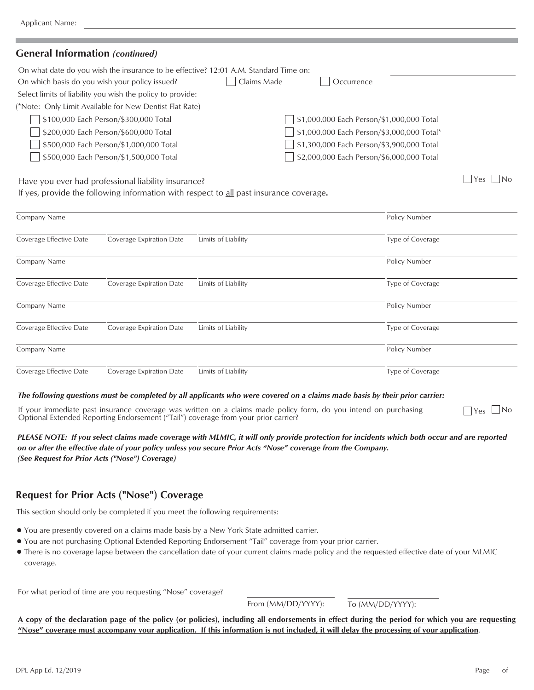### **General Information** *(continued)*

| On what date do you wish the insurance to be effective? 12:01 A.M. Standard Time on: |                                                      |  |
|--------------------------------------------------------------------------------------|------------------------------------------------------|--|
| On which basis do you wish your policy issued?                                       | Claims Made<br>Occurrence                            |  |
| Select limits of liability you wish the policy to provide:                           |                                                      |  |
| (*Note: Only Limit Available for New Dentist Flat Rate)                              |                                                      |  |
| \$100,000 Each Person/\$300,000 Total                                                | $\sqrt{ }$ \$1,000,000 Each Person/\$1,000,000 Total |  |
| \$200,000 Each Person/\$600,000 Total                                                | \$1,000,000 Each Person/\$3,000,000 Total*           |  |
| \$500,000 Each Person/\$1,000,000 Total                                              | \$1,300,000 Each Person/\$3,900,000 Total            |  |
| \$500,000 Each Person/\$1,500,000 Total                                              | \$2,000,000 Each Person/\$6,000,000 Total            |  |
|                                                                                      |                                                      |  |

Have you ever had professional liability insurance?

If yes, provide the following information with respect to all past insurance coverage**.**

| Company Name            |                          |                     | Policy Number    |
|-------------------------|--------------------------|---------------------|------------------|
| Coverage Effective Date | Coverage Expiration Date | Limits of Liability | Type of Coverage |
| Company Name            |                          |                     | Policy Number    |
| Coverage Effective Date | Coverage Expiration Date | Limits of Liability | Type of Coverage |
| Company Name            |                          |                     | Policy Number    |
| Coverage Effective Date | Coverage Expiration Date | Limits of Liability | Type of Coverage |
| Company Name            |                          |                     | Policy Number    |
| Coverage Effective Date | Coverage Expiration Date | Limits of Liability | Type of Coverage |

#### *The following questions must be completed by all applicants who were covered on a claims made basis by their prior carrier:*

If your immediate past insurance coverage was written on a claims made policy form, do you intend on purchasing Optional Extended Reporting Endorsement ("Tail") coverage from your prior carrier?

*PLEASE NOTE: If you select claims made coverage with MLMIC, it will only provide protection for incidents which both occur and are reported on or after the effective date of your policy unless you secure Prior Acts "Nose" coverage from the Company. (See Request for Prior Acts ("Nose") Coverage)*

### **Request for Prior Acts ("Nose") Coverage**

This section should only be completed if you meet the following requirements:

- You are presently covered on a claims made basis by a New York State admitted carrier.
- You are not purchasing Optional Extended Reporting Endorsement "Tail" coverage from your prior carrier.
- There is no coverage lapse between the cancellation date of your current claims made policy and the requested effective date of your MLMIC coverage.

For what period of time are you requesting "Nose" coverage?

From (MM/DD/YYYY): To (MM/DD/YYYY):

**A copy of the declaration page of the policy (or policies), including all endorsements in effect during the period for which you are requesting "Nose" coverage must accompany your application. If this information is not included, it will delay the processing of your application**.

 $\Box$ Yes  $\Box$ No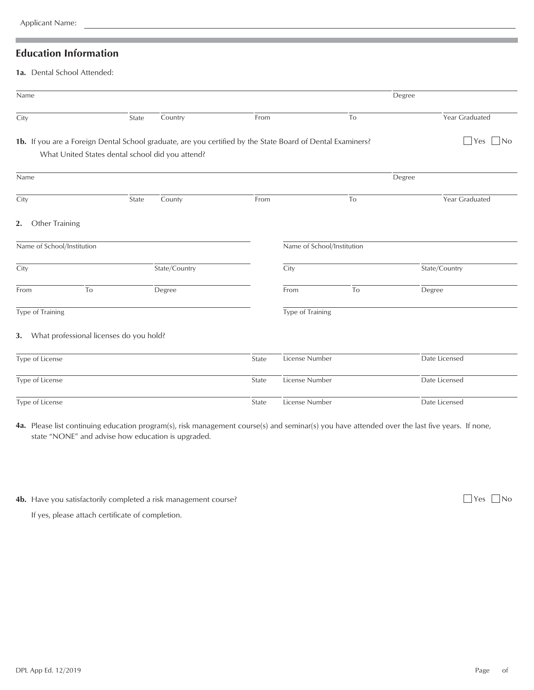### **Education Information**

1a. Dental School Attended:

| Name                                                                                                       |                                                  |       |               |       |                            |    | Degree                        |
|------------------------------------------------------------------------------------------------------------|--------------------------------------------------|-------|---------------|-------|----------------------------|----|-------------------------------|
| City                                                                                                       |                                                  | State | Country       | From  |                            | To | Year Graduated                |
| 1b. If you are a Foreign Dental School graduate, are you certified by the State Board of Dental Examiners? | What United States dental school did you attend? |       |               |       |                            |    | $ $ Yes<br>$\vert$ $\vert$ No |
|                                                                                                            |                                                  |       |               |       |                            |    |                               |
| Name                                                                                                       |                                                  |       |               |       |                            |    | Degree                        |
| City                                                                                                       |                                                  | State | County        | From  |                            | To | Year Graduated                |
| Other Training<br>2.                                                                                       |                                                  |       |               |       |                            |    |                               |
| Name of School/Institution                                                                                 |                                                  |       |               |       | Name of School/Institution |    |                               |
| City                                                                                                       |                                                  |       | State/Country |       | City                       |    | State/Country                 |
| From                                                                                                       | To                                               |       | Degree        |       | From                       | To | Degree                        |
| Type of Training                                                                                           |                                                  |       |               |       | Type of Training           |    |                               |
| 3. What professional licenses do you hold?                                                                 |                                                  |       |               |       |                            |    |                               |
| Type of License                                                                                            |                                                  |       |               | State | License Number             |    | Date Licensed                 |
| Type of License                                                                                            |                                                  |       |               | State | License Number             |    | Date Licensed                 |
| Type of License                                                                                            |                                                  |       |               | State | License Number             |    | Date Licensed                 |

**4a.** Please list continuing education program(s), risk management course(s) and seminar(s) you have attended over the last five years. If none, state "NONE" and advise how education is upgraded.

**4b.** Have you satisfactorily completed a risk management course? **All and the set of the set of the set of the set of the set of the set of the set of the set of the set of the set of the set of the set of the set of the** 

If yes, please attach certificate of completion.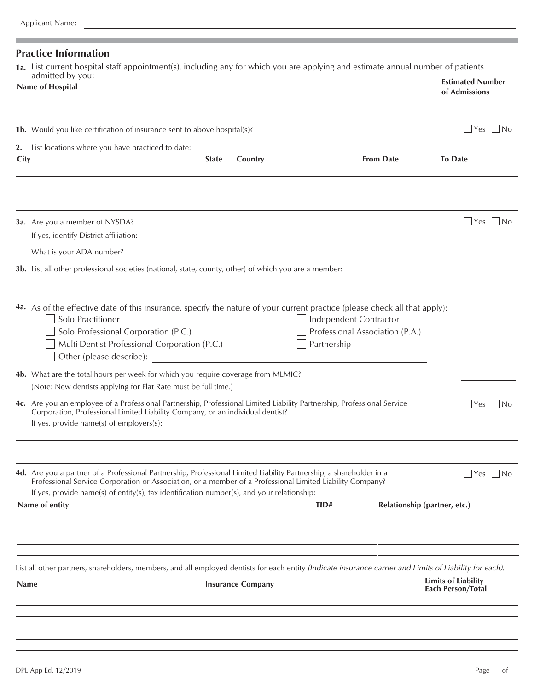| Page | -ot |
|------|-----|
|      |     |

### **Practice Information**

**1a.** List current hospital staff appointment(s), including any for which you are applying and estimate annual number of patients

|             | admitted by you:<br>Name of Hospital                                                                                                                                                                                                                                                                                           |              |                                                                     |                                                                          |                  | <b>Estimated Number</b><br>of Admissions        |       |
|-------------|--------------------------------------------------------------------------------------------------------------------------------------------------------------------------------------------------------------------------------------------------------------------------------------------------------------------------------|--------------|---------------------------------------------------------------------|--------------------------------------------------------------------------|------------------|-------------------------------------------------|-------|
|             | 1b. Would you like certification of insurance sent to above hospital(s)?                                                                                                                                                                                                                                                       |              |                                                                     |                                                                          |                  | Yes                                             | - INo |
| City        | 2. List locations where you have practiced to date:                                                                                                                                                                                                                                                                            | <b>State</b> | Country                                                             |                                                                          | <b>From Date</b> | <b>To Date</b>                                  |       |
|             |                                                                                                                                                                                                                                                                                                                                |              |                                                                     |                                                                          |                  |                                                 |       |
|             | 3a. Are you a member of NYSDA?<br>If yes, identify District affiliation:<br>What is your ADA number?                                                                                                                                                                                                                           |              | <u> 1989 - Johann Stein, mars an deus Amerikaansk kommunister (</u> |                                                                          |                  | Yes                                             | - INo |
|             | 3b. List all other professional societies (national, state, county, other) of which you are a member:                                                                                                                                                                                                                          |              |                                                                     |                                                                          |                  |                                                 |       |
|             | 4a. As of the effective date of this insurance, specify the nature of your current practice (please check all that apply):<br>Solo Practitioner<br>Solo Professional Corporation (P.C.)<br>Multi-Dentist Professional Corporation (P.C.)<br>Other (please describe):                                                           |              |                                                                     | Independent Contractor<br>Professional Association (P.A.)<br>Partnership |                  |                                                 |       |
|             | 4b. What are the total hours per week for which you require coverage from MLMIC?<br>(Note: New dentists applying for Flat Rate must be full time.)<br>4c. Are you an employee of a Professional Partnership, Professional Limited Liability Partnership, Professional Service                                                  |              |                                                                     |                                                                          |                  | Yes                                             | -INo  |
|             | Corporation, Professional Limited Liability Company, or an individual dentist?<br>If yes, provide name(s) of employers(s):                                                                                                                                                                                                     |              |                                                                     |                                                                          |                  |                                                 |       |
|             | 4d. Are you a partner of a Professional Partnership, Professional Limited Liability Partnership, a shareholder in a<br>Professional Service Corporation or Association, or a member of a Professional Limited Liability Company?<br>If yes, provide name(s) of entity(s), tax identification number(s), and your relationship: |              |                                                                     |                                                                          |                  | Yes    No                                       |       |
|             | Name of entity                                                                                                                                                                                                                                                                                                                 |              |                                                                     | TID#                                                                     |                  | Relationship (partner, etc.)                    |       |
|             |                                                                                                                                                                                                                                                                                                                                |              |                                                                     |                                                                          |                  |                                                 |       |
| <b>Name</b> | List all other partners, shareholders, members, and all employed dentists for each entity (Indicate insurance carrier and Limits of Liability for each).                                                                                                                                                                       |              | <b>Insurance Company</b>                                            |                                                                          |                  | <b>Limits of Liability</b><br>Each Person/Total |       |
|             |                                                                                                                                                                                                                                                                                                                                |              |                                                                     |                                                                          |                  |                                                 |       |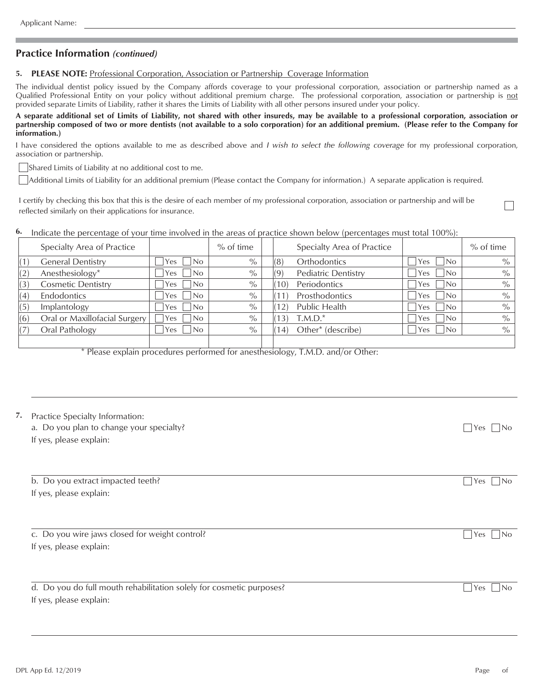### **Practice Information** *(continued)*

#### **5. PLEASE NOTE:** Professional Corporation, Association or Partnership Coverage Information

The individual dentist policy issued by the Company affords coverage to your professional corporation, association or partnership named as a Qualified Professional Entity on your policy without additional premium charge. The professional corporation, association or partnership is not provided separate Limits of Liability, rather it shares the Limits of Liability with all other persons insured under your policy.

**A separate additional set of Limits of Liability, not shared with other insureds, may be available to a professional corporation, association or partnership composed of two or more dentists (not available to a solo corporation) for an additional premium. (Please refer to the Company for information.)**

I have considered the options available to me as described above and *I wish to select the following coverage* for my professional corporation, association or partnership.

Shared Limits of Liability at no additional cost to me.

Additional Limits of Liability for an additional premium (Please contact the Company for information.) A separate application is required.

I certify by checking this box that this is the desire of each member of my professional corporation, association or partnership and will be reflected similarly on their applications for insurance.

**6.** Indicate the percentage of your time involved in the areas of practice shown below (percentages must total 100%):

|     | Specialty Area of Practice    |                                 | $%$ of time   |                 | Specialty Area of Practice |                        | $%$ of time   |
|-----|-------------------------------|---------------------------------|---------------|-----------------|----------------------------|------------------------|---------------|
| (1) | <b>General Dentistry</b>      | Yes   No                        | $\%$          | 8               | Orthodontics               | `No<br>Yes             | $\frac{0}{0}$ |
| (2) | Anesthesiology*               | No<br>Yes                       | $\frac{0}{0}$ |                 | <b>Pediatric Dentistry</b> | No<br>Yes              | $\%$          |
| (3) | <b>Cosmetic Dentistry</b>     | Yes   No                        | $\%$          | 10 <sup>°</sup> | Periodontics               | IN <sub>o</sub><br>Yes | $\frac{0}{0}$ |
| (4) | Endodontics                   | No<br>Yes                       | $\%$          |                 | Prosthodontics             | No.<br>Yes             | $\%$          |
| (5) | Implantology                  | $\overline{\mathsf{No}}$<br>Yes | $\%$          |                 | Public Health              | l No<br>Yes            | $\%$          |
| (6) | Oral or Maxillofacial Surgery | INo<br>Yes                      | $\%$          | 3               | $T.M.D.*$                  | No<br>Yes              | $\frac{0}{0}$ |
|     | Oral Pathology                | No<br>Yes:                      | $\%$          | $ 4\rangle$     | Other* (describe)          | No.<br>res             | $\frac{0}{0}$ |
|     |                               |                                 |               |                 |                            |                        |               |

\* Please explain procedures performed for anesthesiology, T.M.D. and/or Other:

| Practice Specialty Information:<br>a. Do you plan to change your specialty?<br>If yes, please explain:<br>b. Do you extract impacted teeth? | $ Yes $ $ No$        |
|---------------------------------------------------------------------------------------------------------------------------------------------|----------------------|
|                                                                                                                                             |                      |
| If yes, please explain:                                                                                                                     | $ Yes $ $ No$        |
| c. Do you wire jaws closed for weight control?                                                                                              | $Yes \mid \text{No}$ |
| If yes, please explain:                                                                                                                     |                      |
| d. Do you do full mouth rehabilitation solely for cosmetic purposes?<br>If yes, please explain:                                             | Yes<br>l INo         |
|                                                                                                                                             |                      |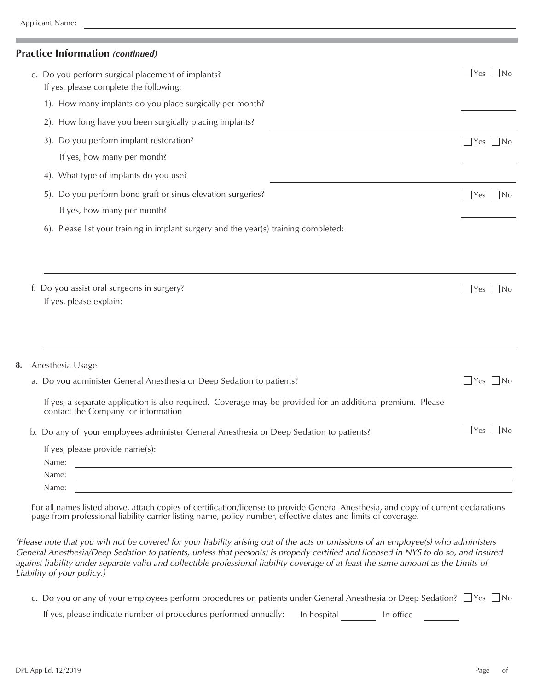### **Practice Information** *(continued)*

|    | e. Do you perform surgical placement of implants?<br>If yes, please complete the following:                                                        | $\forall$ es<br> No |
|----|----------------------------------------------------------------------------------------------------------------------------------------------------|---------------------|
|    | 1). How many implants do you place surgically per month?                                                                                           |                     |
|    | 2). How long have you been surgically placing implants?                                                                                            |                     |
|    | 3). Do you perform implant restoration?                                                                                                            | Yes <br> No         |
|    | If yes, how many per month?                                                                                                                        |                     |
|    | 4). What type of implants do you use?                                                                                                              |                     |
|    | 5). Do you perform bone graft or sinus elevation surgeries?<br>If yes, how many per month?                                                         | Yes    No           |
|    | 6). Please list your training in implant surgery and the year(s) training completed:                                                               |                     |
|    |                                                                                                                                                    |                     |
|    | f. Do you assist oral surgeons in surgery?<br>If yes, please explain:                                                                              | Yes <br> No         |
| 8. | Anesthesia Usage                                                                                                                                   |                     |
|    | a. Do you administer General Anesthesia or Deep Sedation to patients?                                                                              | No<br>Yes           |
|    | If yes, a separate application is also required. Coverage may be provided for an additional premium. Please<br>contact the Company for information |                     |
|    | b. Do any of your employees administer General Anesthesia or Deep Sedation to patients?                                                            | Yes <br> No         |
|    | If yes, please provide name(s):                                                                                                                    |                     |
|    | Name:<br><u> 1989 - Johann Barbara, martxa alemaniar amerikan basar da a</u>                                                                       |                     |
|    | Name:<br>the control of the control of the control of the control of the control of the control of                                                 |                     |
|    | Name:                                                                                                                                              |                     |
|    |                                                                                                                                                    |                     |

For all names listed above, attach copies of certification/license to provide General Anesthesia, and copy of current declarations page from professional liability carrier listing name, policy number, effective dates and limits of coverage.

*(Please note that you will not be covered for your liability arising out of the acts or omissions of an employee(s) who administers General Anesthesia/Deep Sedation to patients, unless that person(s) is properly certified and licensed in NYS to do so, and insured against liability under separate valid and collectible professional liability coverage of at least the same amount as the Limits of Liability of your policy.)*

| c. Do you or any of your employees perform procedures on patients under General Anesthesia or Deep Sedation? $\Box$ Yes $\Box$ No |           |  |
|-----------------------------------------------------------------------------------------------------------------------------------|-----------|--|
| If yes, please indicate number of procedures performed annually: In hospital                                                      | In office |  |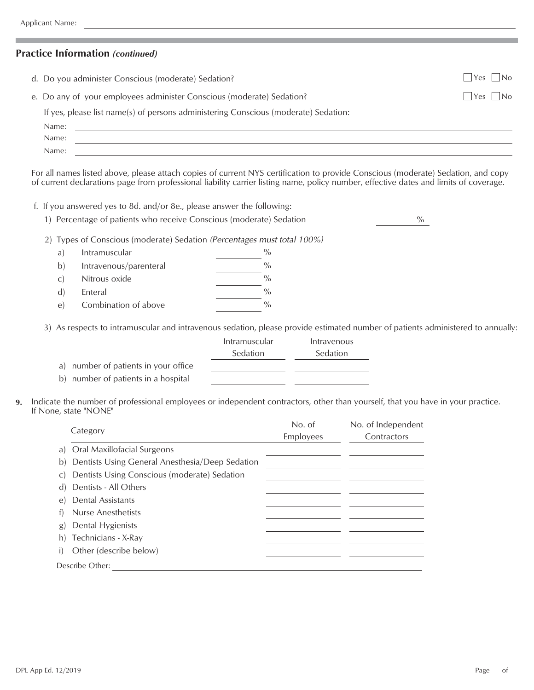### **Practice Information** *(continued)*

| d. Do you administer Conscious (moderate) Sedation?                                 | $ $ $ $ Yes $ $ $ $ No |
|-------------------------------------------------------------------------------------|------------------------|
| e. Do any of your employees administer Conscious (moderate) Sedation?               | Yes    No              |
| If yes, please list name(s) of persons administering Conscious (moderate) Sedation: |                        |
| Name:                                                                               |                        |
| Name:                                                                               |                        |
| Name:                                                                               |                        |

For all names listed above, please attach copies of current NYS certification to provide Conscious (moderate) Sedation, and copy of current declarations page from professional liability carrier listing name, policy number, effective dates and limits of coverage.

f. If you answered yes to 8d. and/or 8e., please answer the following:

|  | 1) Percentage of patients who receive Conscious (moderate) Sedation |  |  |
|--|---------------------------------------------------------------------|--|--|
|--|---------------------------------------------------------------------|--|--|

2) Types of Conscious (moderate) Sedation *(Percentages must total 100%)*

| a)            | Intramuscular          | $\frac{0}{0}$ |
|---------------|------------------------|---------------|
| $\mathbf{b}$  | Intravenous/parenteral | $\frac{0}{0}$ |
| $\mathcal{C}$ | Nitrous oxide          | $\frac{0}{0}$ |
| $\mathbf{d}$  | Enteral                | $\frac{0}{0}$ |
| $\Theta$      | Combination of above   | $\frac{0}{0}$ |

3) As respects to intramuscular and intravenous sedation, please provide estimated number of patients administered to annually:

|                                      | Intramuscular | Intravenous     |
|--------------------------------------|---------------|-----------------|
|                                      | Sedation      | <b>Sedation</b> |
| a) number of patients in your office |               |                 |
| b) number of patients in a hospital  |               |                 |

**9.** Indicate the number of professional employees or independent contractors, other than yourself, that you have in your practice. If None, state "NONE"

| Category |                                                    | No. of    | No. of Independent |
|----------|----------------------------------------------------|-----------|--------------------|
|          |                                                    | Employees | Contractors        |
|          | a) Oral Maxillofacial Surgeons                     |           |                    |
|          | b) Dentists Using General Anesthesia/Deep Sedation |           |                    |
|          | c) Dentists Using Conscious (moderate) Sedation    |           |                    |
|          | d) Dentists - All Others                           |           |                    |
|          | e) Dental Assistants                               |           |                    |
|          | f) Nurse Anesthetists                              |           |                    |
|          | g) Dental Hygienists                               |           |                    |
|          | h) Technicians - X-Ray                             |           |                    |
| i)       | Other (describe below)                             |           |                    |
|          | Describe Other:                                    |           |                    |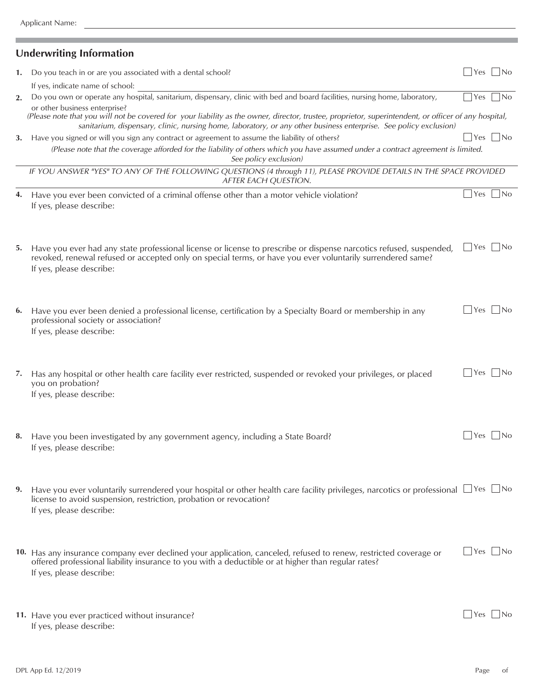ī

## **Underwriting Information**

| 1. | Do you teach in or are you associated with a dental school?                                                                                                                                                                                                                | $ Yes $ $ No$ |       |
|----|----------------------------------------------------------------------------------------------------------------------------------------------------------------------------------------------------------------------------------------------------------------------------|---------------|-------|
|    | If yes, indicate name of school:                                                                                                                                                                                                                                           |               |       |
| 2. | Do you own or operate any hospital, sanitarium, dispensary, clinic with bed and board facilities, nursing home, laboratory,<br>or other business enterprise?                                                                                                               | Yes           | INo   |
|    | (Please note that you will not be covered for your liability as the owner, director, trustee, proprietor, superintendent, or officer of any hospital,<br>sanitarium, dispensary, clinic, nursing home, laboratory, or any other business enterprise. See policy exclusion) |               |       |
| 3. | Have you signed or will you sign any contract or agreement to assume the liability of others?                                                                                                                                                                              | l Yes         | No    |
|    | (Please note that the coverage afforded for the liability of others which you have assumed under a contract agreement is limited.                                                                                                                                          |               |       |
|    | See policy exclusion)                                                                                                                                                                                                                                                      |               |       |
|    | IF YOU ANSWER "YES" TO ANY OF THE FOLLOWING QUESTIONS (4 through 11), PLEASE PROVIDE DETAILS IN THE SPACE PROVIDED<br>AFTER EACH QUESTION.                                                                                                                                 |               |       |
| 4. | Have you ever been convicted of a criminal offense other than a motor vehicle violation?<br>If yes, please describe:                                                                                                                                                       | $ Yes $ $ No$ |       |
| 5. | Have you ever had any state professional license or license to prescribe or dispense narcotics refused, suspended,<br>revoked, renewal refused or accepted only on special terms, or have you ever voluntarily surrendered same?<br>If yes, please describe:               | Yes    No     |       |
| 6. | Have you ever been denied a professional license, certification by a Specialty Board or membership in any<br>professional society or association?<br>If yes, please describe:                                                                                              | $\rfloor$ Yes | . INo |
| 7. | Has any hospital or other health care facility ever restricted, suspended or revoked your privileges, or placed<br>you on probation?<br>If yes, please describe:                                                                                                           | Yes           | . INo |
| 8. | Have you been investigated by any government agency, including a State Board?<br>If yes, please describe:                                                                                                                                                                  | Yes           |       |
|    | Have you ever voluntarily surrendered your hospital or other health care facility privileges, narcotics or professional $\Box$ Yes $\Box$ No<br>license to avoid suspension, restriction, probation or revocation?<br>If yes, please describe:                             |               |       |
|    | 10. Has any insurance company ever declined your application, canceled, refused to renew, restricted coverage or<br>offered professional liability insurance to you with a deductible or at higher than regular rates?<br>If yes, please describe:                         | Yes    No     |       |
|    | 11. Have you ever practiced without insurance?<br>If yes, please describe:                                                                                                                                                                                                 | l Yes         | l No  |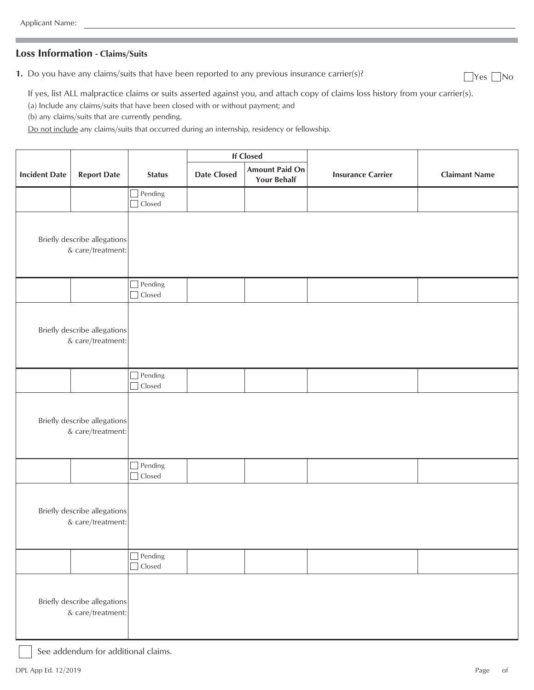### **Loss Information - Claims/Suits**

**1.** Do you have any claims/suits that have been reported to any previous insurance carrier(s)?  $\Box$  Yes  $\Box$  No

If yes, list ALL malpractice claims or suits asserted against you, and attach copy of claims loss history from your carrier(s).

(a) Include any claims/suits that have been closed with or without payment; and

(b) any claims/suits that are currently pending.

Do not include any claims/suits that occurred during an internship, residency or fellowship.

|                                                   |                                                   |                          | <b>If Closed</b>   |                                             |                          |                      |
|---------------------------------------------------|---------------------------------------------------|--------------------------|--------------------|---------------------------------------------|--------------------------|----------------------|
| <b>Incident Date</b>                              | <b>Report Date</b>                                | <b>Status</b>            | <b>Date Closed</b> | <b>Amount Paid On</b><br><b>Your Behalf</b> | <b>Insurance Carrier</b> | <b>Claimant Name</b> |
|                                                   |                                                   | Pending<br>$\Box$ Closed |                    |                                             |                          |                      |
|                                                   | Briefly describe allegations<br>& care/treatment: |                          |                    |                                             |                          |                      |
|                                                   |                                                   | Pending<br>Closed        |                    |                                             |                          |                      |
|                                                   | Briefly describe allegations<br>& care/treatment: |                          |                    |                                             |                          |                      |
|                                                   |                                                   | Pending<br>П<br>Closed   |                    |                                             |                          |                      |
|                                                   | Briefly describe allegations<br>& care/treatment: |                          |                    |                                             |                          |                      |
|                                                   |                                                   | Pending<br>$\Box$ Closed |                    |                                             |                          |                      |
|                                                   | Briefly describe allegations<br>& care/treatment: |                          |                    |                                             |                          |                      |
|                                                   |                                                   | $\Box$ Pending<br>Closed |                    |                                             |                          |                      |
| Briefly describe allegations<br>& care/treatment: |                                                   |                          |                    |                                             |                          |                      |

See addendum for additional claims.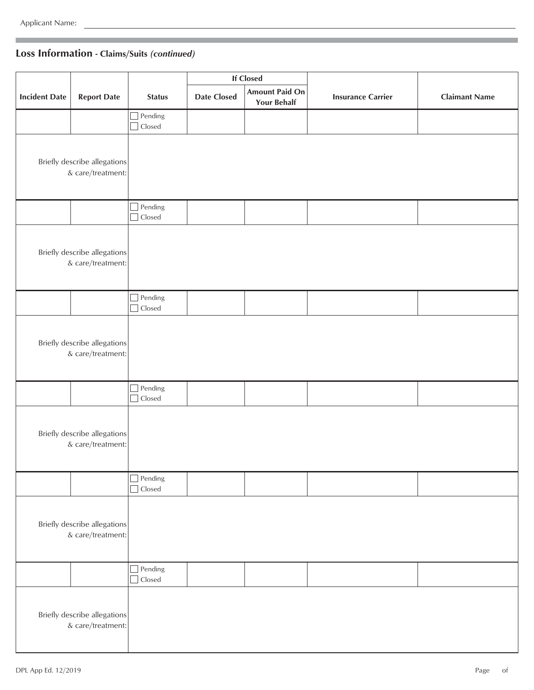## **Loss Information - Claims/Suits** *(continued)*

|                      |                                                   |                                    |                    | <b>If Closed</b>                            |                          |                      |
|----------------------|---------------------------------------------------|------------------------------------|--------------------|---------------------------------------------|--------------------------|----------------------|
| <b>Incident Date</b> | <b>Report Date</b>                                | <b>Status</b>                      | <b>Date Closed</b> | <b>Amount Paid On</b><br><b>Your Behalf</b> | <b>Insurance Carrier</b> | <b>Claimant Name</b> |
|                      |                                                   | Pending<br>$\Box$<br>$\Box$ Closed |                    |                                             |                          |                      |
|                      | Briefly describe allegations<br>& care/treatment: |                                    |                    |                                             |                          |                      |
|                      |                                                   | $\Box$ Pending<br>Closed<br>$\Box$ |                    |                                             |                          |                      |
|                      | Briefly describe allegations<br>& care/treatment: |                                    |                    |                                             |                          |                      |
|                      |                                                   | Pending<br>Г<br>Closed<br>$\Box$   |                    |                                             |                          |                      |
|                      | Briefly describe allegations<br>& care/treatment: |                                    |                    |                                             |                          |                      |
|                      |                                                   | Pending<br>$\Box$ Closed           |                    |                                             |                          |                      |
|                      | Briefly describe allegations<br>& care/treatment: |                                    |                    |                                             |                          |                      |
|                      |                                                   | Pending<br>$\Box$<br>$\Box$ Closed |                    |                                             |                          |                      |
|                      | Briefly describe allegations<br>& care/treatment: |                                    |                    |                                             |                          |                      |
|                      |                                                   | Pending<br>Closed<br>П             |                    |                                             |                          |                      |
|                      | Briefly describe allegations<br>& care/treatment: |                                    |                    |                                             |                          |                      |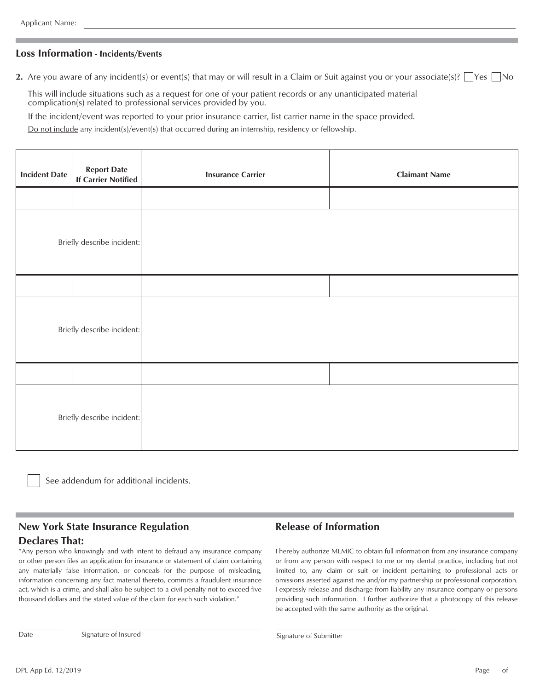### **Loss Information - Incidents/Events**

**2.** Are you aware of any incident(s) or event(s) that may or will result in a Claim or Suit against you or your associate(s)?  $\Box$  Yes  $\Box$  No

This will include situations such as a request for one of your patient records or any unanticipated material complication(s) related to professional services provided by you.

If the incident/event was reported to your prior insurance carrier, list carrier name in the space provided.

Do not include any incident(s)/event(s) that occurred during an internship, residency or fellowship.

| <b>Incident Date</b>       | <b>Report Date</b><br>If Carrier Notified | <b>Insurance Carrier</b> | <b>Claimant Name</b> |
|----------------------------|-------------------------------------------|--------------------------|----------------------|
|                            |                                           |                          |                      |
| Briefly describe incident: |                                           |                          |                      |
|                            |                                           |                          |                      |
| Briefly describe incident: |                                           |                          |                      |
|                            |                                           |                          |                      |
| Briefly describe incident: |                                           |                          |                      |

See addendum for additional incidents.

### **New York State Insurance Regulation Declares That:**

"Any person who knowingly and with intent to defraud any insurance company or other person files an application for insurance or statement of claim containing any materially false information, or conceals for the purpose of misleading, information concerning any fact material thereto, commits a fraudulent insurance act, which is a crime, and shall also be subject to a civil penalty not to exceed five thousand dollars and the stated value of the claim for each such violation."

### **Release of Information**

I hereby authorize MLMIC to obtain full information from any insurance company or from any person with respect to me or my dental practice, including but not limited to, any claim or suit or incident pertaining to professional acts or omissions asserted against me and/or my partnership or professional corporation. I expressly release and discharge from liability any insurance company or persons providing such information. I further authorize that a photocopy of this release be accepted with the same authority as the original.

Date Signature of Insured Submitter Signature of Submitter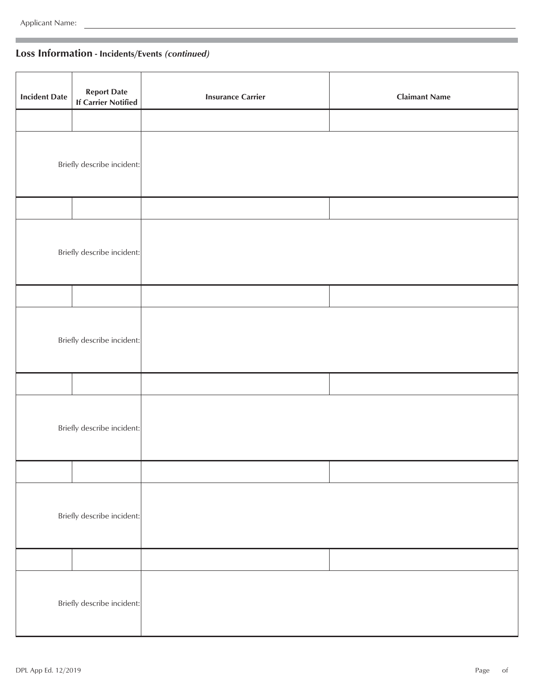## **Loss Information - Incidents/Events** *(continued)*

| <b>Incident Date</b> | <b>Report Date</b><br><b>If Carrier Notified</b> | <b>Insurance Carrier</b> | <b>Claimant Name</b> |
|----------------------|--------------------------------------------------|--------------------------|----------------------|
|                      |                                                  |                          |                      |
|                      | Briefly describe incident:                       |                          |                      |
|                      |                                                  |                          |                      |
|                      | Briefly describe incident:                       |                          |                      |
|                      |                                                  |                          |                      |
|                      | Briefly describe incident:                       |                          |                      |
|                      |                                                  |                          |                      |
|                      | Briefly describe incident:                       |                          |                      |
|                      |                                                  |                          |                      |
|                      | Briefly describe incident:                       |                          |                      |
|                      |                                                  |                          |                      |
|                      | Briefly describe incident:                       |                          |                      |